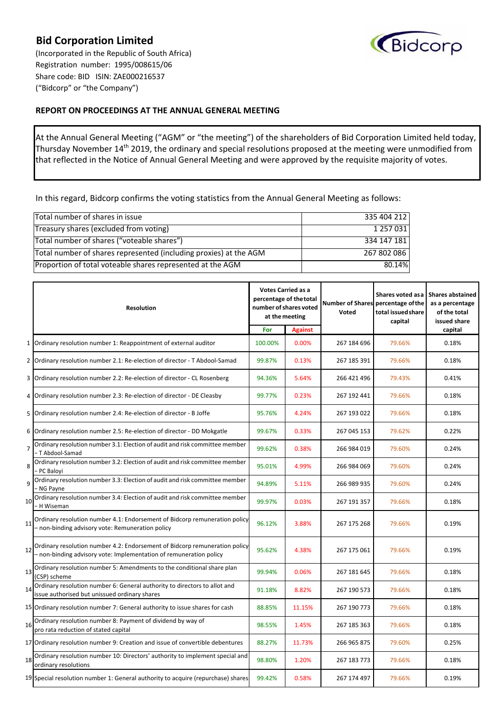## **Bid Corporation Limited**

(Incorporated in the Republic of South Africa) Registration number: 1995/008615/06 Share code: BID ISIN: ZAE000216537 ("Bidcorp" or "the Company")



## **REPORT ON PROCEEDINGS AT THE ANNUAL GENERAL MEETING**

At the Annual General Meeting ("AGM" or "the meeting") of the shareholders of Bid Corporation Limited held today, Thursday November 14<sup>th</sup> 2019, the ordinary and special resolutions proposed at the meeting were unmodified from that reflected in the Notice of Annual General Meeting and were approved by the requisite majority of votes.

In this regard, Bidcorp confirms the voting statistics from the Annual General Meeting as follows:

| Total number of shares in issue                                   | 335 404 212 |
|-------------------------------------------------------------------|-------------|
| Treasury shares (excluded from voting)                            | 1 257 031   |
| Total number of shares ("voteable shares")                        | 334 147 181 |
| Total number of shares represented (including proxies) at the AGM | 267 802 086 |
| Proportion of total voteable shares represented at the AGM        | 80.14%      |

|                | <b>Resolution</b>                                                                                                                                | <b>Votes Carried as a</b><br>percentage of the total<br>number of shares voted<br>at the meeting |                | <b>Number of Shares</b><br>Voted | Shares voted as a<br>percentage of the<br>total issued share<br>capital | <b>Shares abstained</b><br>as a percentage<br>of the total<br>issued share |
|----------------|--------------------------------------------------------------------------------------------------------------------------------------------------|--------------------------------------------------------------------------------------------------|----------------|----------------------------------|-------------------------------------------------------------------------|----------------------------------------------------------------------------|
|                |                                                                                                                                                  | For                                                                                              | <b>Against</b> |                                  |                                                                         | capital                                                                    |
| $\mathbf{1}$   | Ordinary resolution number 1: Reappointment of external auditor                                                                                  | 100.00%                                                                                          | 0.00%          | 267 184 696                      | 79.66%                                                                  | 0.18%                                                                      |
| $\overline{2}$ | Ordinary resolution number 2.1: Re-election of director - T Abdool-Samad                                                                         | 99.87%                                                                                           | 0.13%          | 267 185 391                      | 79.66%                                                                  | 0.18%                                                                      |
| 3              | Ordinary resolution number 2.2: Re-election of director - CL Rosenberg                                                                           | 94.36%                                                                                           | 5.64%          | 266 421 496                      | 79.43%                                                                  | 0.41%                                                                      |
| 4              | Ordinary resolution number 2.3: Re-election of director - DE Cleasby                                                                             | 99.77%                                                                                           | 0.23%          | 267 192 441                      | 79.66%                                                                  | 0.18%                                                                      |
| 5              | Ordinary resolution number 2.4: Re-election of director - B Joffe                                                                                | 95.76%                                                                                           | 4.24%          | 267 193 022                      | 79.66%                                                                  | 0.18%                                                                      |
| 6              | Ordinary resolution number 2.5: Re-election of director - DD Mokgatle                                                                            | 99.67%                                                                                           | 0.33%          | 267 045 153                      | 79.62%                                                                  | 0.22%                                                                      |
| $\overline{7}$ | Ordinary resolution number 3.1: Election of audit and risk committee member<br>T Abdool-Samad                                                    | 99.62%                                                                                           | 0.38%          | 266 984 019                      | 79.60%                                                                  | 0.24%                                                                      |
| 8              | Ordinary resolution number 3.2: Election of audit and risk committee member<br>PC Balovi                                                         | 95.01%                                                                                           | 4.99%          | 266 984 069                      | 79.60%                                                                  | 0.24%                                                                      |
| 9              | Ordinary resolution number 3.3: Election of audit and risk committee member<br>- NG Payne                                                        | 94.89%                                                                                           | 5.11%          | 266 989 935                      | 79.60%                                                                  | 0.24%                                                                      |
| 10             | Ordinary resolution number 3.4: Election of audit and risk committee member<br>- H Wiseman                                                       | 99.97%                                                                                           | 0.03%          | 267 191 357                      | 79.66%                                                                  | 0.18%                                                                      |
| 11             | Ordinary resolution number 4.1: Endorsement of Bidcorp remuneration policy<br>- non-binding advisory vote: Remuneration policy                   | 96.12%                                                                                           | 3.88%          | 267 175 268                      | 79.66%                                                                  | 0.19%                                                                      |
| 12             | Ordinary resolution number 4.2: Endorsement of Bidcorp remuneration policy<br>- non-binding advisory vote: Implementation of remuneration policy | 95.62%                                                                                           | 4.38%          | 267 175 061                      | 79.66%                                                                  | 0.19%                                                                      |
|                | 13 Ordinary resolution number 5: Amendments to the conditional share plan<br>(CSP) scheme                                                        | 99.94%                                                                                           | 0.06%          | 267 181 645                      | 79.66%                                                                  | 0.18%                                                                      |
| 14             | Ordinary resolution number 6: General authority to directors to allot and<br>issue authorised but unissued ordinary shares                       | 91.18%                                                                                           | 8.82%          | 267 190 573                      | 79.66%                                                                  | 0.18%                                                                      |
|                | 15 Ordinary resolution number 7: General authority to issue shares for cash                                                                      | 88.85%                                                                                           | 11.15%         | 267 190 773                      | 79.66%                                                                  | 0.18%                                                                      |
| 16             | Ordinary resolution number 8: Payment of dividend by way of<br>pro rata reduction of stated capital                                              | 98.55%                                                                                           | 1.45%          | 267 185 363                      | 79.66%                                                                  | 0.18%                                                                      |
|                | 17 Ordinary resolution number 9: Creation and issue of convertible debentures                                                                    | 88.27%                                                                                           | 11.73%         | 266 965 875                      | 79.60%                                                                  | 0.25%                                                                      |
|                | 18 Ordinary resolution number 10: Directors' authority to implement special and<br>ordinary resolutions                                          | 98.80%                                                                                           | 1.20%          | 267 183 773                      | 79.66%                                                                  | 0.18%                                                                      |
|                | 19 Special resolution number 1: General authority to acquire (repurchase) shares                                                                 | 99.42%                                                                                           | 0.58%          | 267 174 497                      | 79.66%                                                                  | 0.19%                                                                      |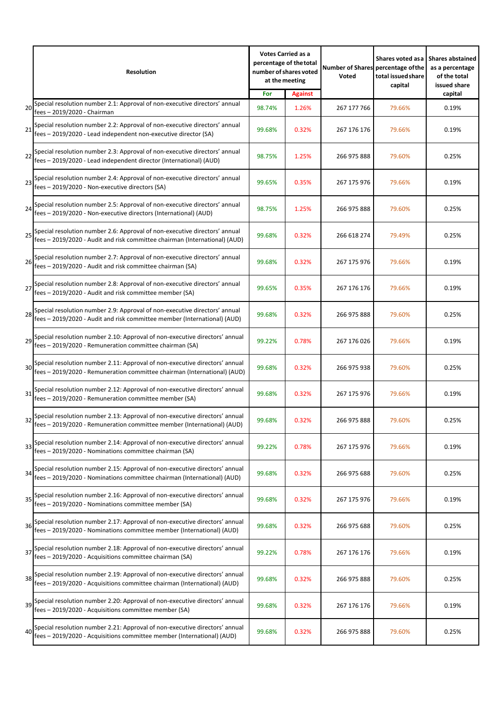|    | <b>Resolution</b>                                                                                                                                              | <b>Votes Carried as a</b><br>number of shares voted | percentage of the total<br>at the meeting | Voted       | Shares voted as a<br>Number of Shares percentage of the<br>total issued share<br>capital | <b>Shares abstained</b><br>as a percentage<br>of the total<br>issued share |
|----|----------------------------------------------------------------------------------------------------------------------------------------------------------------|-----------------------------------------------------|-------------------------------------------|-------------|------------------------------------------------------------------------------------------|----------------------------------------------------------------------------|
| 20 | Special resolution number 2.1: Approval of non-executive directors' annual<br>fees - 2019/2020 - Chairman                                                      | For<br>98.74%                                       | <b>Against</b><br>1.26%                   | 267 177 766 | 79.66%                                                                                   | capital<br>0.19%                                                           |
| 21 | Special resolution number 2.2: Approval of non-executive directors' annual<br>fees - 2019/2020 - Lead independent non-executive director (SA)                  | 99.68%                                              | 0.32%                                     | 267 176 176 | 79.66%                                                                                   | 0.19%                                                                      |
| 22 | Special resolution number 2.3: Approval of non-executive directors' annual<br>fees - 2019/2020 - Lead independent director (International) (AUD)               | 98.75%                                              | 1.25%                                     | 266 975 888 | 79.60%                                                                                   | 0.25%                                                                      |
|    | Special resolution number 2.4: Approval of non-executive directors' annual<br>23   Essex   2010   2009   11<br>fees - 2019/2020 - Non-executive directors (SA) | 99.65%                                              | 0.35%                                     | 267 175 976 | 79.66%                                                                                   | 0.19%                                                                      |
| 24 | Special resolution number 2.5: Approval of non-executive directors' annual<br>fees - 2019/2020 - Non-executive directors (International) (AUD)                 | 98.75%                                              | 1.25%                                     | 266 975 888 | 79.60%                                                                                   | 0.25%                                                                      |
| 25 | Special resolution number 2.6: Approval of non-executive directors' annual<br>fees – 2019/2020 - Audit and risk committee chairman (International) (AUD)       | 99.68%                                              | 0.32%                                     | 266 618 274 | 79.49%                                                                                   | 0.25%                                                                      |
|    | fees - 2019/2020 - Audit and risk committee chairman (SA)                                                                                                      | 99.68%                                              | 0.32%                                     | 267 175 976 | 79.66%                                                                                   | 0.19%                                                                      |
| 27 | Special resolution number 2.8: Approval of non-executive directors' annual<br>fees - 2019/2020 - Audit and risk committee member (SA)                          | 99.65%                                              | 0.35%                                     | 267 176 176 | 79.66%                                                                                   | 0.19%                                                                      |
|    | Special resolution number 2.9: Approval of non-executive directors' annual<br>28<br>fees - 2019/2020 - Audit and risk committee member (International) (AUD)   | 99.68%                                              | 0.32%                                     | 266 975 888 | 79.60%                                                                                   | 0.25%                                                                      |
|    | Special resolution number 2.10: Approval of non-executive directors' annual<br>fees - 2019/2020 - Remuneration committee chairman (SA)                         | 99.22%                                              | 0.78%                                     | 267 176 026 | 79.66%                                                                                   | 0.19%                                                                      |
|    | Special resolution number 2.11: Approval of non-executive directors' annual<br>fees - 2019/2020 - Remuneration committee chairman (International) (AUD)        | 99.68%                                              | 0.32%                                     | 266 975 938 | 79.60%                                                                                   | 0.25%                                                                      |
| 31 | Special resolution number 2.12: Approval of non-executive directors' annual<br>fees - 2019/2020 - Remuneration committee member (SA)                           | 99.68%                                              | 0.32%                                     | 267 175 976 | 79.66%                                                                                   | 0.19%                                                                      |
|    | Special resolution number 2.13: Approval of non-executive directors' annual<br>32<br>fees - 2019/2020 - Remuneration committee member (International) (AUD)    | 99.68%                                              | 0.32%                                     | 266 975 888 | 79.60%                                                                                   | 0.25%                                                                      |
|    | Special resolution number 2.14: Approval of non-executive directors' annual<br>fees - 2019/2020 - Nominations committee chairman (SA)                          | 99.22%                                              | 0.78%                                     | 267 175 976 | 79.66%                                                                                   | 0.19%                                                                      |
| 34 | Special resolution number 2.15: Approval of non-executive directors' annual<br>fees - 2019/2020 - Nominations committee chairman (International) (AUD)         | 99.68%                                              | 0.32%                                     | 266 975 688 | 79.60%                                                                                   | 0.25%                                                                      |
|    | 35 Special resolution number 2.16: Approval of non-executive directors' annual<br>fees – 2019/2020 - Nominations committee member (SA)                         | 99.68%                                              | 0.32%                                     | 267 175 976 | 79.66%                                                                                   | 0.19%                                                                      |
| 36 | Special resolution number 2.17: Approval of non-executive directors' annual<br>fees - 2019/2020 - Nominations committee member (International) (AUD)           | 99.68%                                              | 0.32%                                     | 266 975 688 | 79.60%                                                                                   | 0.25%                                                                      |
|    | 37 Special resolution number 2.18: Approval of non-executive directors' annual<br>fees - 2019/2020 - Acquisitions committee chairman (SA)                      | 99.22%                                              | 0.78%                                     | 267 176 176 | 79.66%                                                                                   | 0.19%                                                                      |
| 38 | Special resolution number 2.19: Approval of non-executive directors' annual<br>fees - 2019/2020 - Acquisitions committee chairman (International) (AUD)        | 99.68%                                              | 0.32%                                     | 266 975 888 | 79.60%                                                                                   | 0.25%                                                                      |
| 39 | Special resolution number 2.20: Approval of non-executive directors' annual<br>fees - 2019/2020 - Acquisitions committee member (SA)                           | 99.68%                                              | 0.32%                                     | 267 176 176 | 79.66%                                                                                   | 0.19%                                                                      |
| 40 | Special resolution number 2.21: Approval of non-executive directors' annual<br>fees - 2019/2020 - Acquisitions committee member (International) (AUD)          | 99.68%                                              | 0.32%                                     | 266 975 888 | 79.60%                                                                                   | 0.25%                                                                      |